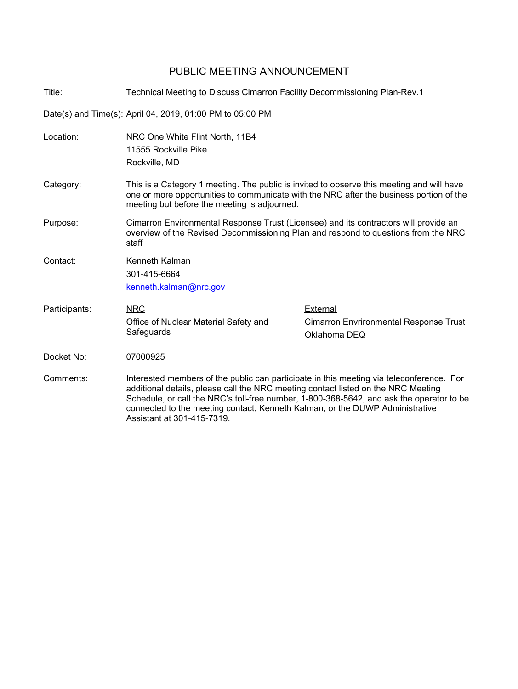## PUBLIC MEETING ANNOUNCEMENT

Title: Technical Meeting to Discuss Cimarron Facility Decommissioning Plan-Rev.1

Date(s) and Time(s): April 04, 2019, 01:00 PM to 05:00 PM

Assistant at 301-415-7319.

| Location:     | NRC One White Flint North, 11B4                                                                                                                                                                                                                                           |                                               |  |
|---------------|---------------------------------------------------------------------------------------------------------------------------------------------------------------------------------------------------------------------------------------------------------------------------|-----------------------------------------------|--|
|               | 11555 Rockville Pike                                                                                                                                                                                                                                                      |                                               |  |
|               | Rockville, MD                                                                                                                                                                                                                                                             |                                               |  |
| Category:     | This is a Category 1 meeting. The public is invited to observe this meeting and will have<br>one or more opportunities to communicate with the NRC after the business portion of the<br>meeting but before the meeting is adjourned.                                      |                                               |  |
| Purpose:      | Cimarron Environmental Response Trust (Licensee) and its contractors will provide an<br>overview of the Revised Decommissioning Plan and respond to questions from the NRC<br>staff                                                                                       |                                               |  |
| Contact:      | Kenneth Kalman                                                                                                                                                                                                                                                            |                                               |  |
|               | 301-415-6664                                                                                                                                                                                                                                                              |                                               |  |
|               | kenneth.kalman@nrc.gov                                                                                                                                                                                                                                                    |                                               |  |
| Participants: | <b>NRC</b>                                                                                                                                                                                                                                                                | External                                      |  |
|               | Office of Nuclear Material Safety and                                                                                                                                                                                                                                     | <b>Cimarron Envrironmental Response Trust</b> |  |
|               | Safeguards                                                                                                                                                                                                                                                                | Oklahoma DEQ                                  |  |
| Docket No:    | 07000925                                                                                                                                                                                                                                                                  |                                               |  |
| Comments:     | Interested members of the public can participate in this meeting via teleconference. For<br>additional details, please call the NRC meeting contact listed on the NRC Meeting<br>Schedule, or call the NRC's toll-free number, 1-800-368-5642, and ask the operator to be |                                               |  |

connected to the meeting contact, Kenneth Kalman, or the DUWP Administrative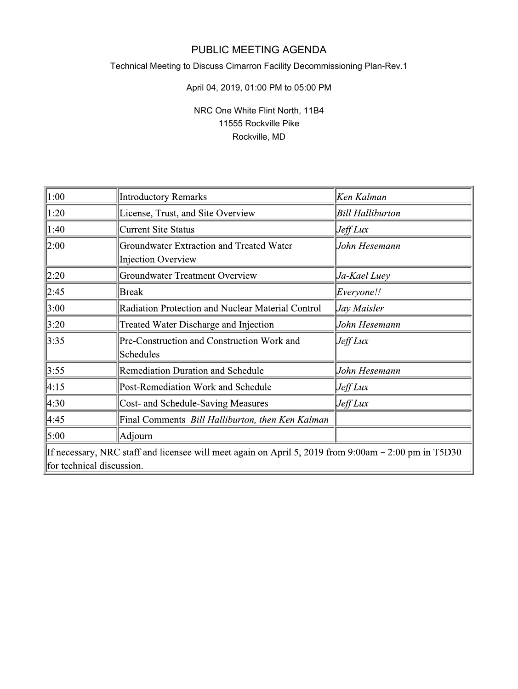# PUBLIC MEETING AGENDA

## Technical Meeting to Discuss Cimarron Facility Decommissioning Plan-Rev.1

### April 04, 2019, 01:00 PM to 05:00 PM

## NRC One White Flint North, 11B4 11555 Rockville Pike Rockville, MD

| 1:00                                                                                                                              | <b>Introductory Remarks</b>                                    | Ken Kalman              |  |
|-----------------------------------------------------------------------------------------------------------------------------------|----------------------------------------------------------------|-------------------------|--|
| 1:20                                                                                                                              | License, Trust, and Site Overview                              | <b>Bill Halliburton</b> |  |
| 1:40                                                                                                                              | <b>Current Site Status</b>                                     | $\mu$ Jeff Lux          |  |
| 2:00                                                                                                                              | Groundwater Extraction and Treated Water<br>Injection Overview | John Hesemann           |  |
| 2:20                                                                                                                              | <b>Groundwater Treatment Overview</b>                          | ]Ja-Kael Luey           |  |
| 2:45                                                                                                                              | Break                                                          | Everyone!!              |  |
| 3:00                                                                                                                              | Radiation Protection and Nuclear Material Control              | Jay Maisler             |  |
| 3:20                                                                                                                              | Treated Water Discharge and Injection                          | John Hesemann           |  |
| 3:35                                                                                                                              | Pre-Construction and Construction Work and<br>Schedules        | Jeff Lux                |  |
| 3:55                                                                                                                              | <b>Remediation Duration and Schedule</b>                       | John Hesemann           |  |
| 4:15                                                                                                                              | Post-Remediation Work and Schedule                             | $\mathcal{J}$ eff Lux   |  |
| 4:30                                                                                                                              | Cost- and Schedule-Saving Measures                             | $J$ eff Lux             |  |
| 4:45                                                                                                                              | Final Comments Bill Halliburton, then Ken Kalman               |                         |  |
| 5:00                                                                                                                              | Adjourn                                                        |                         |  |
| If necessary, NRC staff and licensee will meet again on April 5, 2019 from 9:00am - 2:00 pm in T5D30<br>for technical discussion. |                                                                |                         |  |